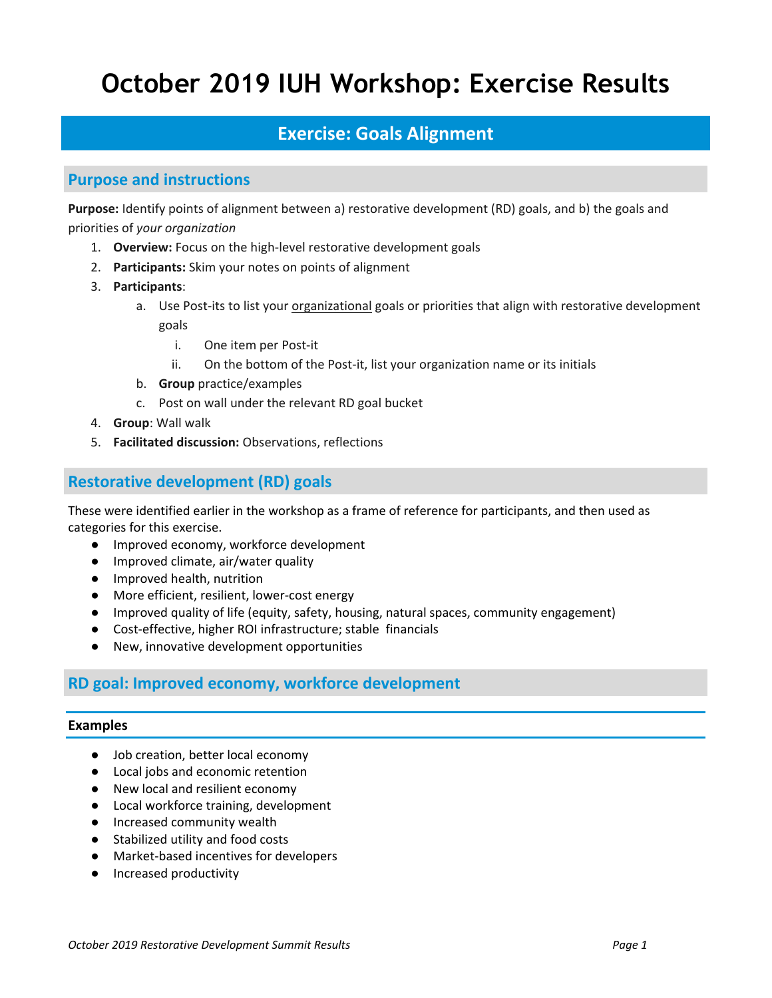# **October 2019 IUH Workshop: Exercise Results**

# **Exercise: Goals Alignment**

### **Purpose and instructions**

**Purpose:** Identify points of alignment between a) restorative development (RD) goals, and b) the goals and priorities of *your organization*

- 1. **Overview:** Focus on the high‐level restorative development goals
- 2. **Participants:** Skim your notes on points of alignment
- 3. **Participants**:
	- a. Use Post‐its to list your organizational goals or priorities that align with restorative development goals
		- i. One item per Post‐it
		- ii. On the bottom of the Post-it, list your organization name or its initials
	- b. **Group** practice/examples
	- c. Post on wall under the relevant RD goal bucket
- 4. **Group**: Wall walk
- 5. **Facilitated discussion:** Observations, reflections

### **Restorative development (RD) goals**

These were identified earlier in the workshop as a frame of reference for participants, and then used as categories for this exercise.

- Improved economy, workforce development
- Improved climate, air/water quality
- Improved health, nutrition
- More efficient, resilient, lower-cost energy
- Improved quality of life (equity, safety, housing, natural spaces, community engagement)
- Cost-effective, higher ROI infrastructure; stable financials
- New, innovative development opportunities

### **RD goal: Improved economy, workforce development**

#### **Examples**

- Job creation, better local economy
- Local jobs and economic retention
- New local and resilient economy
- Local workforce training, development
- Increased community wealth
- Stabilized utility and food costs
- Market-based incentives for developers
- Increased productivity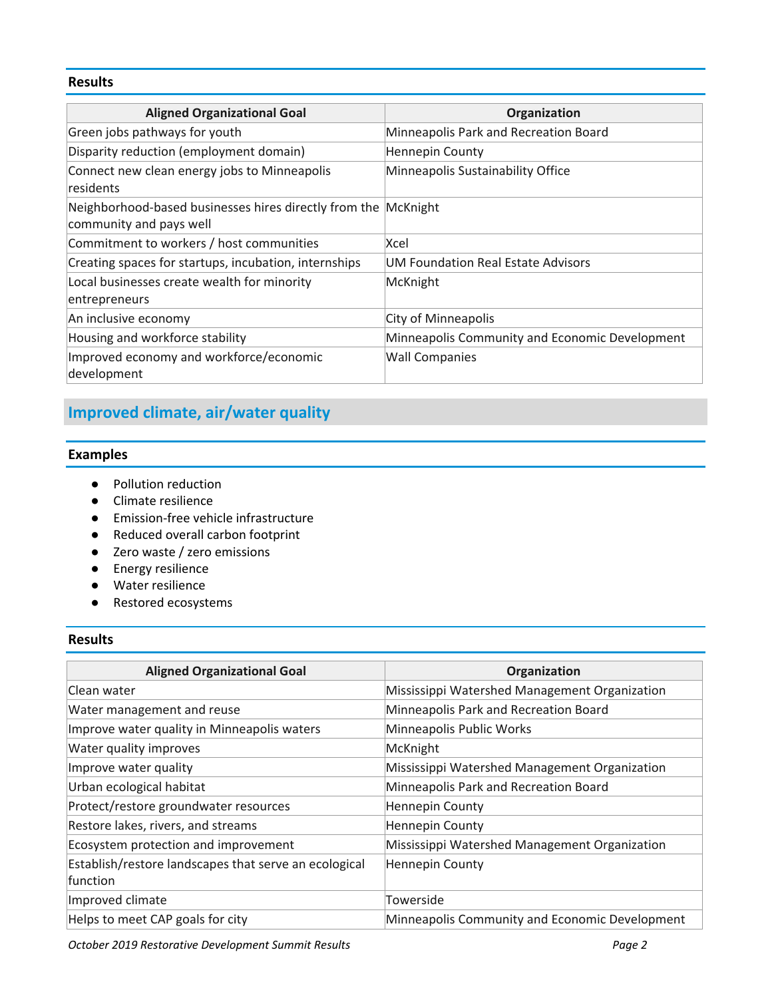#### **Results**

| <b>Aligned Organizational Goal</b>                                                        | Organization                                   |
|-------------------------------------------------------------------------------------------|------------------------------------------------|
| Green jobs pathways for youth                                                             | Minneapolis Park and Recreation Board          |
| Disparity reduction (employment domain)                                                   | Hennepin County                                |
| Connect new clean energy jobs to Minneapolis<br>residents                                 | Minneapolis Sustainability Office              |
| Neighborhood-based businesses hires directly from the McKnight<br>community and pays well |                                                |
| Commitment to workers / host communities                                                  | Xcel                                           |
| Creating spaces for startups, incubation, internships                                     | <b>UM Foundation Real Estate Advisors</b>      |
| Local businesses create wealth for minority<br>entrepreneurs                              | McKnight                                       |
| An inclusive economy                                                                      | <b>City of Minneapolis</b>                     |
| Housing and workforce stability                                                           | Minneapolis Community and Economic Development |
| Improved economy and workforce/economic<br>development                                    | <b>Wall Companies</b>                          |

# **Improved climate, air/water quality**

#### **Examples**

- Pollution reduction
- Climate resilience
- Emission-free vehicle infrastructure
- Reduced overall carbon footprint
- Zero waste / zero emissions
- Energy resilience
- Water resilience
- Restored ecosystems

#### **Results**

| <b>Aligned Organizational Goal</b>                    | Organization                                   |
|-------------------------------------------------------|------------------------------------------------|
| Clean water                                           | Mississippi Watershed Management Organization  |
| Water management and reuse                            | Minneapolis Park and Recreation Board          |
| Improve water quality in Minneapolis waters           | Minneapolis Public Works                       |
| Water quality improves                                | McKnight                                       |
| Improve water quality                                 | Mississippi Watershed Management Organization  |
| Urban ecological habitat                              | Minneapolis Park and Recreation Board          |
| Protect/restore groundwater resources                 | Hennepin County                                |
| Restore lakes, rivers, and streams                    | Hennepin County                                |
| Ecosystem protection and improvement                  | Mississippi Watershed Management Organization  |
| Establish/restore landscapes that serve an ecological | Hennepin County                                |
| function                                              |                                                |
| Improved climate                                      | Towerside                                      |
| Helps to meet CAP goals for city                      | Minneapolis Community and Economic Development |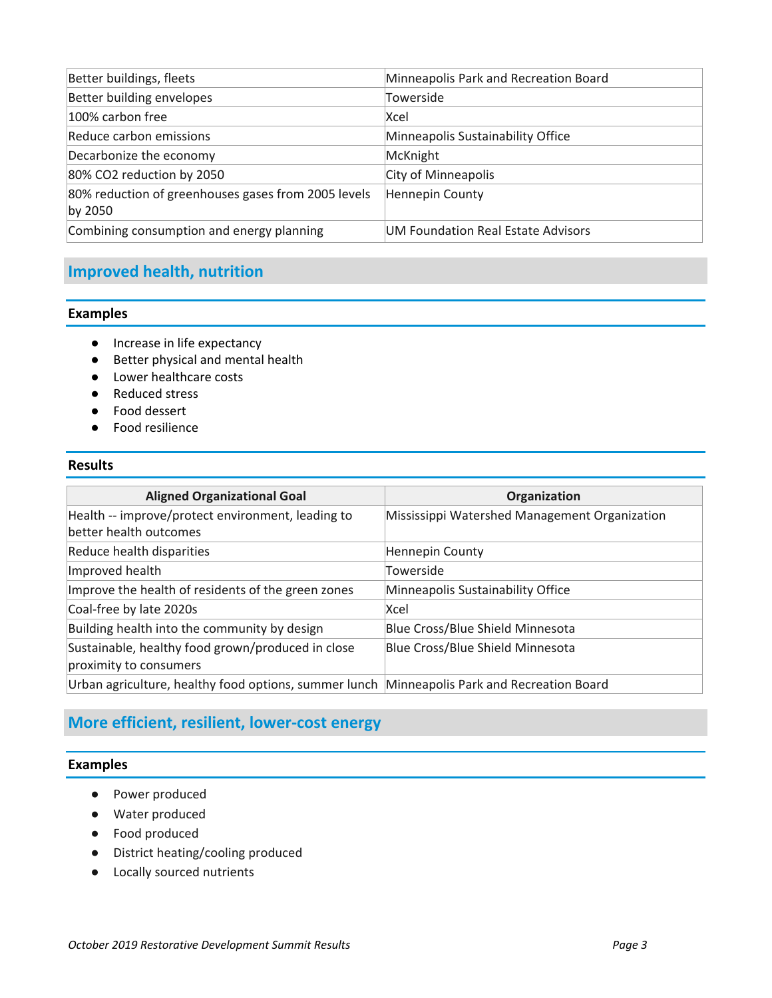| Better buildings, fleets                                       | Minneapolis Park and Recreation Board |
|----------------------------------------------------------------|---------------------------------------|
| Better building envelopes                                      | Towerside                             |
| 100% carbon free                                               | Xcel                                  |
| Reduce carbon emissions                                        | Minneapolis Sustainability Office     |
| Decarbonize the economy                                        | McKnight                              |
| 80% CO2 reduction by 2050                                      | City of Minneapolis                   |
| 80% reduction of greenhouses gases from 2005 levels<br>by 2050 | Hennepin County                       |
| Combining consumption and energy planning                      | UM Foundation Real Estate Advisors    |

### **Improved health, nutrition**

#### **Examples**

- Increase in life expectancy
- Better physical and mental health
- Lower healthcare costs
- Reduced stress
- Food dessert
- Food resilience

#### **Results**

| <b>Aligned Organizational Goal</b>                                                          | Organization                                  |
|---------------------------------------------------------------------------------------------|-----------------------------------------------|
| Health -- improve/protect environment, leading to                                           | Mississippi Watershed Management Organization |
| better health outcomes                                                                      |                                               |
| Reduce health disparities                                                                   | Hennepin County                               |
| Improved health                                                                             | Towerside                                     |
| Improve the health of residents of the green zones                                          | Minneapolis Sustainability Office             |
| Coal-free by late 2020s                                                                     | Xcel                                          |
| Building health into the community by design                                                | Blue Cross/Blue Shield Minnesota              |
| Sustainable, healthy food grown/produced in close                                           | Blue Cross/Blue Shield Minnesota              |
| proximity to consumers                                                                      |                                               |
| Urban agriculture, healthy food options, summer lunch Minneapolis Park and Recreation Board |                                               |

## **More efficient, resilient, lower‐cost energy**

#### **Examples**

- Power produced
- Water produced
- Food produced
- District heating/cooling produced
- Locally sourced nutrients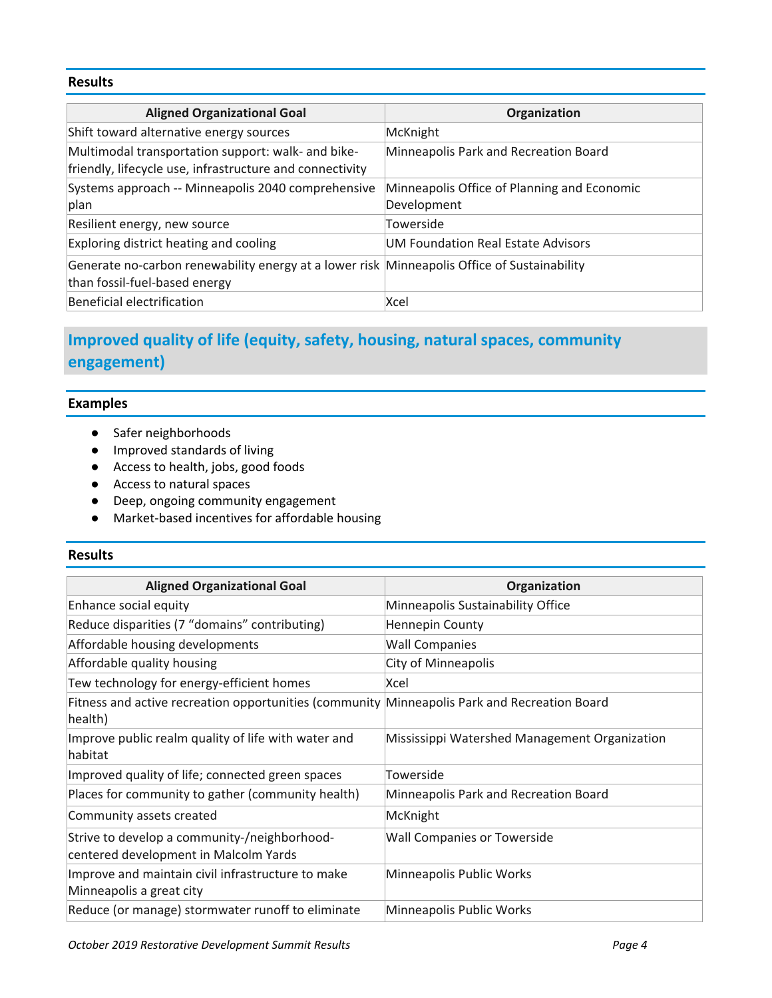#### **Results**

| <b>Aligned Organizational Goal</b>                                                                                           | Organization                                               |
|------------------------------------------------------------------------------------------------------------------------------|------------------------------------------------------------|
| Shift toward alternative energy sources                                                                                      | McKnight                                                   |
| Multimodal transportation support: walk- and bike-<br>friendly, lifecycle use, infrastructure and connectivity               | Minneapolis Park and Recreation Board                      |
| Systems approach -- Minneapolis 2040 comprehensive<br>plan                                                                   | Minneapolis Office of Planning and Economic<br>Development |
| Resilient energy, new source                                                                                                 | Towerside                                                  |
| Exploring district heating and cooling                                                                                       | UM Foundation Real Estate Advisors                         |
| Generate no-carbon renewability energy at a lower risk Minneapolis Office of Sustainability<br>than fossil-fuel-based energy |                                                            |
| Beneficial electrification                                                                                                   | Xcel                                                       |

# **Improved quality of life (equity, safety, housing, natural spaces, community engagement)**

#### **Examples**

- Safer neighborhoods
- Improved standards of living
- Access to health, jobs, good foods
- Access to natural spaces
- Deep, ongoing community engagement
- Market‐based incentives for affordable housing

#### **Results**

| <b>Aligned Organizational Goal</b>                                                                      | Organization                                  |
|---------------------------------------------------------------------------------------------------------|-----------------------------------------------|
| Enhance social equity                                                                                   | Minneapolis Sustainability Office             |
| Reduce disparities (7 "domains" contributing)                                                           | <b>Hennepin County</b>                        |
| Affordable housing developments                                                                         | <b>Wall Companies</b>                         |
| Affordable quality housing                                                                              | <b>City of Minneapolis</b>                    |
| Tew technology for energy-efficient homes                                                               | Xcel                                          |
| Fitness and active recreation opportunities (community Minneapolis Park and Recreation Board<br>health) |                                               |
| Improve public realm quality of life with water and<br>habitat                                          | Mississippi Watershed Management Organization |
| Improved quality of life; connected green spaces                                                        | Towerside                                     |
| Places for community to gather (community health)                                                       | Minneapolis Park and Recreation Board         |
| Community assets created                                                                                | McKnight                                      |
| Strive to develop a community-/neighborhood-<br>centered development in Malcolm Yards                   | <b>Wall Companies or Towerside</b>            |
| Improve and maintain civil infrastructure to make<br>Minneapolis a great city                           | Minneapolis Public Works                      |
| Reduce (or manage) stormwater runoff to eliminate                                                       | Minneapolis Public Works                      |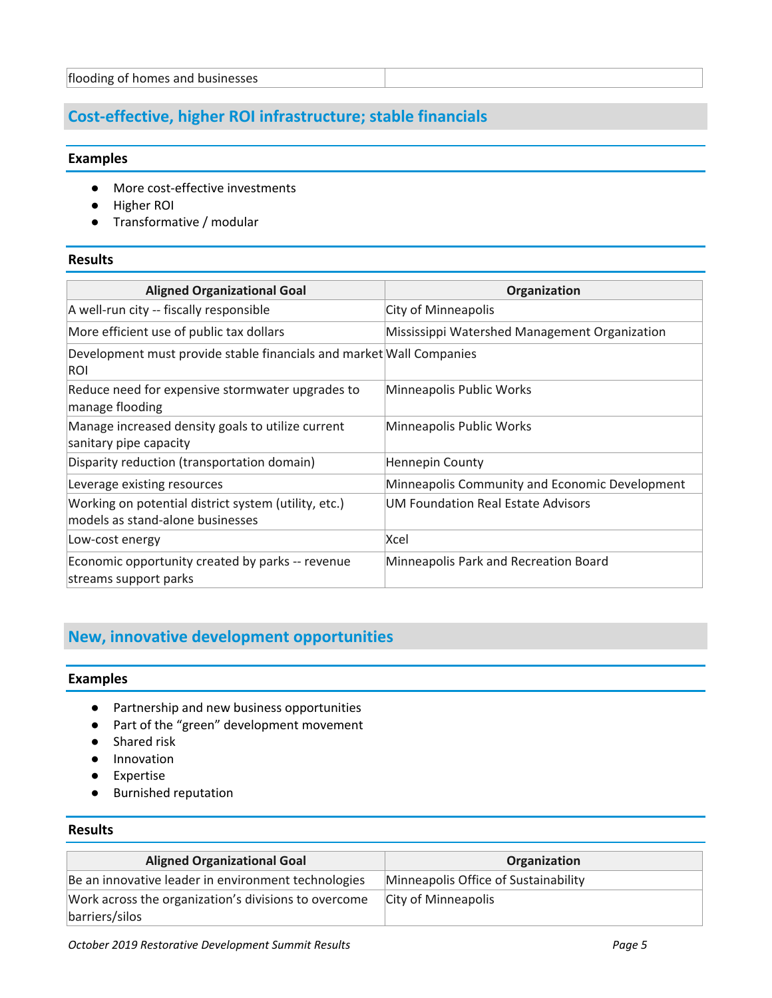### **Cost‐effective, higher ROI infrastructure; stable financials**

#### **Examples**

- More cost-effective investments
- Higher ROI
- Transformative / modular

#### **Results**

| <b>Aligned Organizational Goal</b>                                                       | Organization                                   |
|------------------------------------------------------------------------------------------|------------------------------------------------|
| A well-run city -- fiscally responsible                                                  | City of Minneapolis                            |
| More efficient use of public tax dollars                                                 | Mississippi Watershed Management Organization  |
| Development must provide stable financials and market Wall Companies<br>ROI              |                                                |
| Reduce need for expensive stormwater upgrades to<br>manage flooding                      | Minneapolis Public Works                       |
| Manage increased density goals to utilize current<br>sanitary pipe capacity              | Minneapolis Public Works                       |
| Disparity reduction (transportation domain)                                              | <b>Hennepin County</b>                         |
| Leverage existing resources                                                              | Minneapolis Community and Economic Development |
| Working on potential district system (utility, etc.)<br>models as stand-alone businesses | UM Foundation Real Estate Advisors             |
| Low-cost energy                                                                          | Xcel                                           |
| Economic opportunity created by parks -- revenue<br>streams support parks                | Minneapolis Park and Recreation Board          |

## **New, innovative development opportunities**

#### **Examples**

- Partnership and new business opportunities
- Part of the "green" development movement
- Shared risk
- Innovation
- Expertise
- Burnished reputation

#### **Results**

| <b>Aligned Organizational Goal</b>                                     | Organization                         |
|------------------------------------------------------------------------|--------------------------------------|
| Be an innovative leader in environment technologies                    | Minneapolis Office of Sustainability |
| Work across the organization's divisions to overcome<br>barriers/silos | City of Minneapolis                  |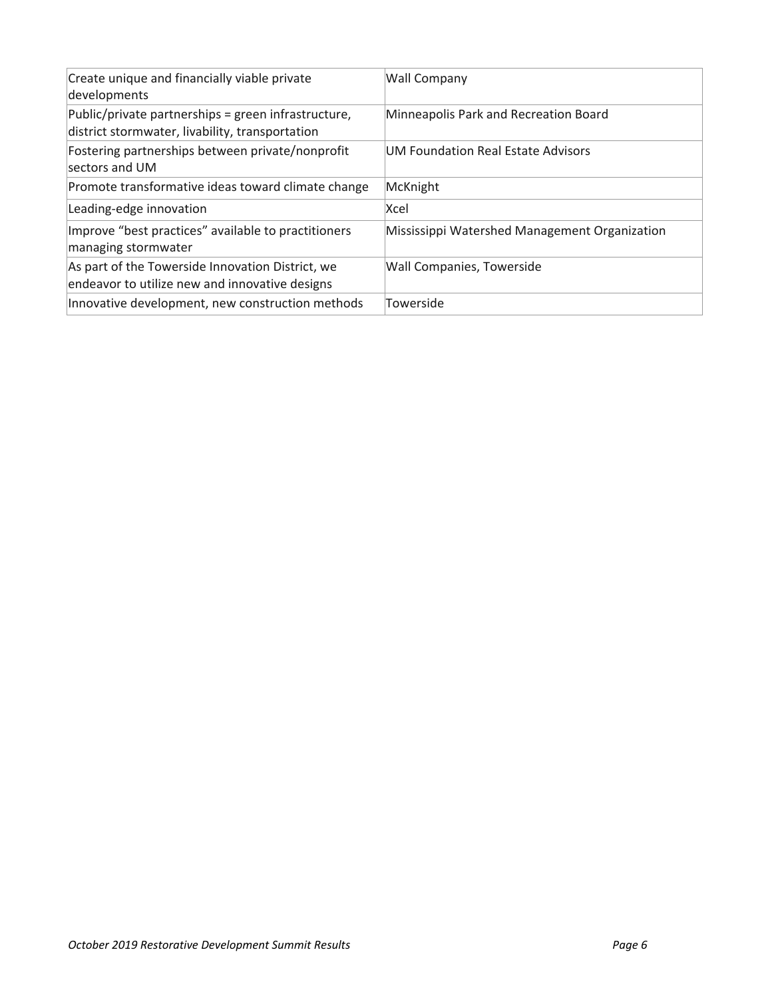| Create unique and financially viable private<br>developments                                           | <b>Wall Company</b>                           |
|--------------------------------------------------------------------------------------------------------|-----------------------------------------------|
| Public/private partnerships = green infrastructure,<br>district stormwater, livability, transportation | Minneapolis Park and Recreation Board         |
| Fostering partnerships between private/nonprofit<br>sectors and UM                                     | UM Foundation Real Estate Advisors            |
| Promote transformative ideas toward climate change                                                     | McKnight                                      |
| Leading-edge innovation                                                                                | Xcel                                          |
| Improve "best practices" available to practitioners<br>managing stormwater                             | Mississippi Watershed Management Organization |
| As part of the Towerside Innovation District, we<br>endeavor to utilize new and innovative designs     | Wall Companies, Towerside                     |
| Innovative development, new construction methods                                                       | Towerside                                     |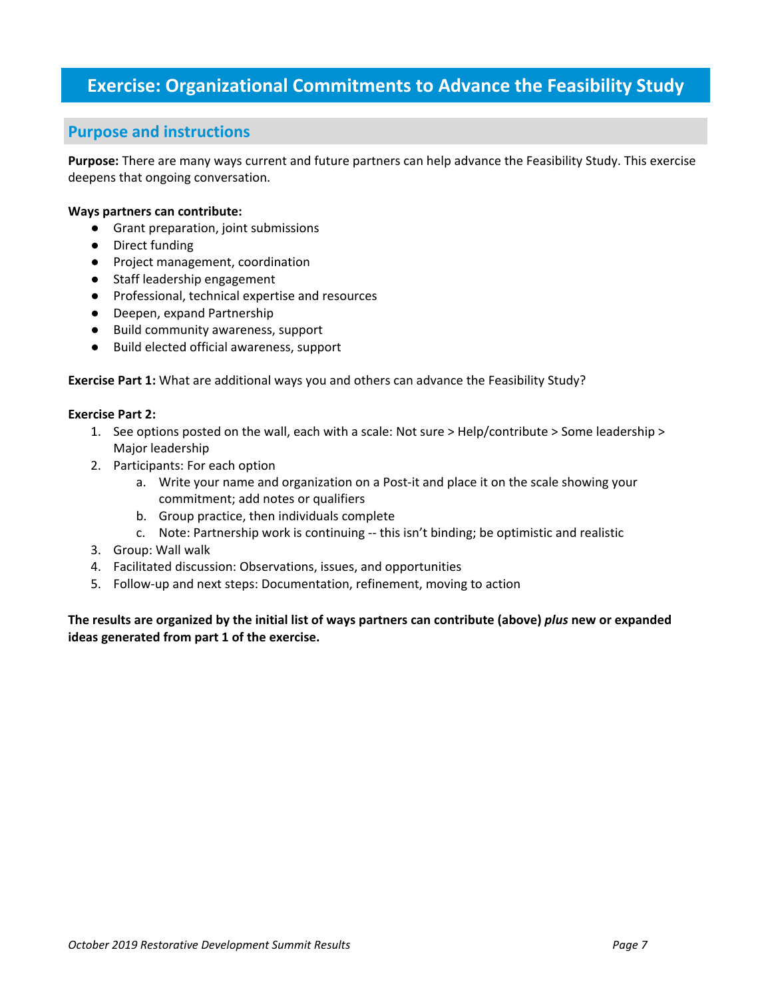## **Exercise: Organizational Commitments to Advance the Feasibility Study**

#### **Purpose and instructions**

**Purpose:** There are many ways current and future partners can help advance the Feasibility Study. This exercise deepens that ongoing conversation.

#### **Ways partners can contribute:**

- Grant preparation, joint submissions
- Direct funding
- Project management, coordination
- Staff leadership engagement
- Professional, technical expertise and resources
- Deepen, expand Partnership
- Build community awareness, support
- Build elected official awareness, support

**Exercise Part 1:** What are additional ways you and others can advance the Feasibility Study?

#### **Exercise Part 2:**

- 1. See options posted on the wall, each with a scale: Not sure > Help/contribute > Some leadership > Major leadership
- 2. Participants: For each option
	- a. Write your name and organization on a Post-it and place it on the scale showing your commitment; add notes or qualifiers
	- b. Group practice, then individuals complete
	- c. Note: Partnership work is continuing ‐‐ this isn't binding; be optimistic and realistic
- 3. Group: Wall walk
- 4. Facilitated discussion: Observations, issues, and opportunities
- 5. Follow‐up and next steps: Documentation, refinement, moving to action

The results are organized by the initial list of ways partners can contribute (above) plus new or expanded **ideas generated from part 1 of the exercise.**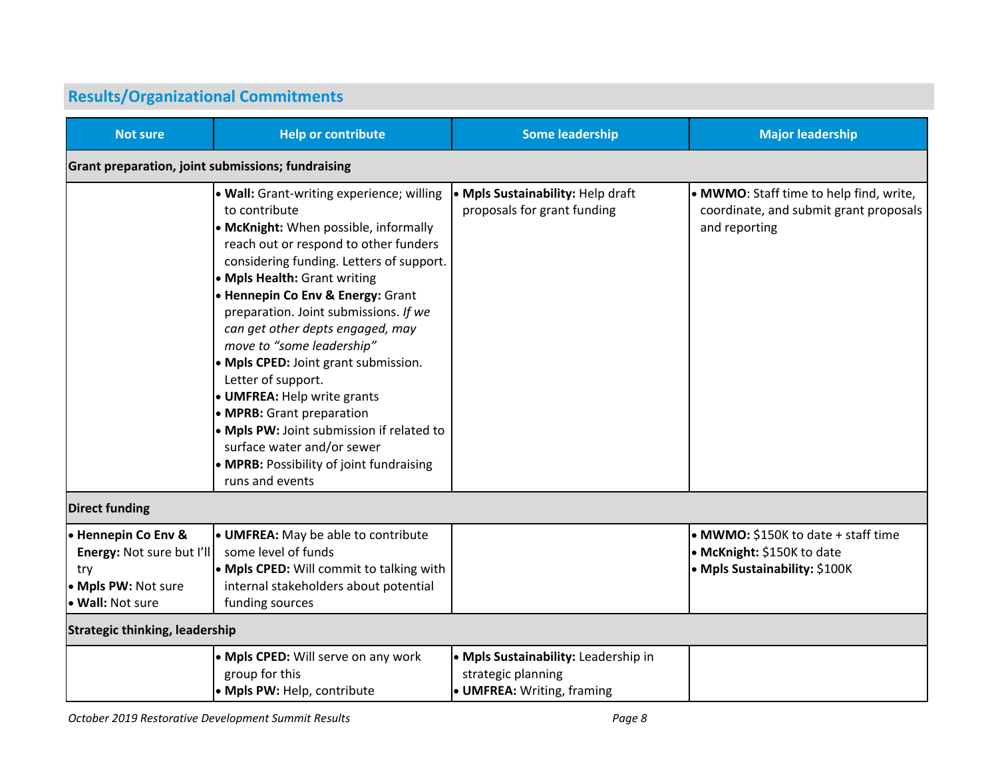| <b>Results/Organizational Commitments</b>                                                          |                                                                                                                                                                                                                                                                                                                                                                                                                                                                                                                                                                                                                                                               |                                                                                          |                                                                                                    |
|----------------------------------------------------------------------------------------------------|---------------------------------------------------------------------------------------------------------------------------------------------------------------------------------------------------------------------------------------------------------------------------------------------------------------------------------------------------------------------------------------------------------------------------------------------------------------------------------------------------------------------------------------------------------------------------------------------------------------------------------------------------------------|------------------------------------------------------------------------------------------|----------------------------------------------------------------------------------------------------|
| <b>Not sure</b>                                                                                    | <b>Help or contribute</b>                                                                                                                                                                                                                                                                                                                                                                                                                                                                                                                                                                                                                                     | <b>Some leadership</b>                                                                   | <b>Major leadership</b>                                                                            |
| Grant preparation, joint submissions; fundraising                                                  |                                                                                                                                                                                                                                                                                                                                                                                                                                                                                                                                                                                                                                                               |                                                                                          |                                                                                                    |
|                                                                                                    | • Wall: Grant-writing experience; willing<br>to contribute<br>• McKnight: When possible, informally<br>reach out or respond to other funders<br>considering funding. Letters of support.<br>• Mpls Health: Grant writing<br><b>• Hennepin Co Env &amp; Energy: Grant</b><br>preparation. Joint submissions. If we<br>can get other depts engaged, may<br>move to "some leadership"<br>• Mpls CPED: Joint grant submission.<br>Letter of support.<br><b>.</b> UMFREA: Help write grants<br>• MPRB: Grant preparation<br>• Mpls PW: Joint submission if related to<br>surface water and/or sewer<br>• MPRB: Possibility of joint fundraising<br>runs and events | . Mpls Sustainability: Help draft<br>proposals for grant funding                         | • MWMO: Staff time to help find, write,<br>coordinate, and submit grant proposals<br>and reporting |
| <b>Direct funding</b>                                                                              |                                                                                                                                                                                                                                                                                                                                                                                                                                                                                                                                                                                                                                                               |                                                                                          |                                                                                                    |
| • Hennepin Co Env &<br>Energy: Not sure but I'll<br>try<br>• Mpls PW: Not sure<br>• Wall: Not sure | <b>• UMFREA:</b> May be able to contribute<br>some level of funds<br>• Mpls CPED: Will commit to talking with<br>internal stakeholders about potential<br>funding sources                                                                                                                                                                                                                                                                                                                                                                                                                                                                                     |                                                                                          | • MWMO: \$150K to date + staff time<br>• McKnight: \$150K to date<br>• Mpls Sustainability: \$100K |
| <b>Strategic thinking, leadership</b>                                                              |                                                                                                                                                                                                                                                                                                                                                                                                                                                                                                                                                                                                                                                               |                                                                                          |                                                                                                    |
|                                                                                                    | • Mpls CPED: Will serve on any work<br>group for this<br>• Mpls PW: Help, contribute                                                                                                                                                                                                                                                                                                                                                                                                                                                                                                                                                                          | • Mpls Sustainability: Leadership in<br>strategic planning<br>• UMFREA: Writing, framing |                                                                                                    |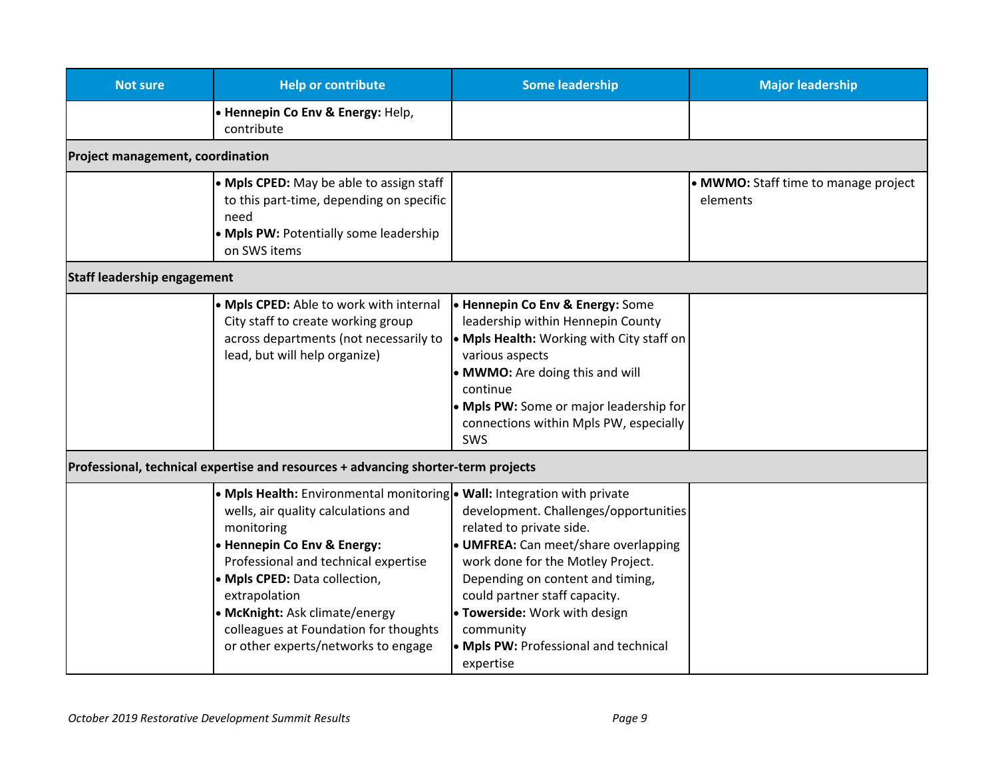| <b>Not sure</b>                         | <b>Help or contribute</b>                                                                                                                                                                                                                                                                                                                                                | <b>Some leadership</b>                                                                                                                                                                                                                                                                                                  | <b>Major leadership</b>                          |
|-----------------------------------------|--------------------------------------------------------------------------------------------------------------------------------------------------------------------------------------------------------------------------------------------------------------------------------------------------------------------------------------------------------------------------|-------------------------------------------------------------------------------------------------------------------------------------------------------------------------------------------------------------------------------------------------------------------------------------------------------------------------|--------------------------------------------------|
|                                         | • Hennepin Co Env & Energy: Help,<br>contribute                                                                                                                                                                                                                                                                                                                          |                                                                                                                                                                                                                                                                                                                         |                                                  |
| <b>Project management, coordination</b> |                                                                                                                                                                                                                                                                                                                                                                          |                                                                                                                                                                                                                                                                                                                         |                                                  |
|                                         | • Mpls CPED: May be able to assign staff<br>to this part-time, depending on specific<br>need<br>• Mpls PW: Potentially some leadership<br>on SWS items                                                                                                                                                                                                                   |                                                                                                                                                                                                                                                                                                                         | • MWMO: Staff time to manage project<br>elements |
| <b>Staff leadership engagement</b>      |                                                                                                                                                                                                                                                                                                                                                                          |                                                                                                                                                                                                                                                                                                                         |                                                  |
|                                         | • Mpls CPED: Able to work with internal<br>City staff to create working group<br>across departments (not necessarily to<br>lead, but will help organize)                                                                                                                                                                                                                 | <b>- Hennepin Co Env &amp; Energy:</b> Some<br>leadership within Hennepin County<br>• Mpls Health: Working with City staff on<br>various aspects<br>• MWMO: Are doing this and will<br>continue<br>. Mpls PW: Some or major leadership for<br>connections within Mpls PW, especially<br>SWS                             |                                                  |
|                                         | Professional, technical expertise and resources + advancing shorter-term projects                                                                                                                                                                                                                                                                                        |                                                                                                                                                                                                                                                                                                                         |                                                  |
|                                         | • Mpls Health: Environmental monitoring • Wall: Integration with private<br>wells, air quality calculations and<br>monitoring<br>• Hennepin Co Env & Energy:<br>Professional and technical expertise<br>• Mpls CPED: Data collection,<br>extrapolation<br>• McKnight: Ask climate/energy<br>colleagues at Foundation for thoughts<br>or other experts/networks to engage | development. Challenges/opportunities<br>related to private side.<br>· UMFREA: Can meet/share overlapping<br>work done for the Motley Project.<br>Depending on content and timing,<br>could partner staff capacity.<br>• Towerside: Work with design<br>community<br>• Mpls PW: Professional and technical<br>expertise |                                                  |